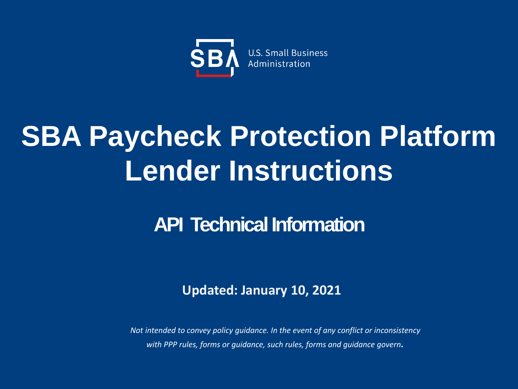

## **SBA Paycheck Protection Platform Lender Instructions**

## **API Technical Information**

### **Updated: January 10, 2021**

*Not intended to convey policy guidance. In the event of any conflict or inconsistency with PPP rules, forms or guidance, such rules, forms and guidance govern.*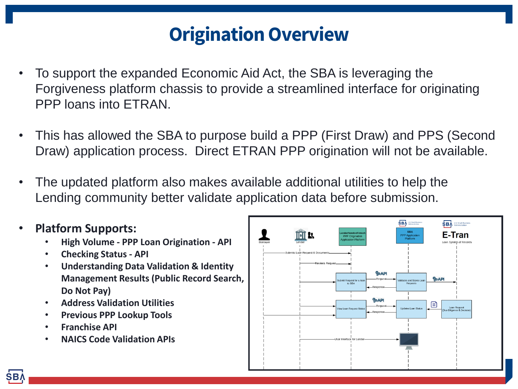## **Origination Overview**

- To support the expanded Economic Aid Act, the SBA is leveraging the Forgiveness platform chassis to provide a streamlined interface for originating PPP loans into ETRAN.
- This has allowed the SBA to purpose build a PPP (First Draw) and PPS (Second Draw) application process. Direct ETRAN PPP origination will not be available.
- The updated platform also makes available additional utilities to help the Lending community better validate application data before submission.
- **Platform Supports:**
	- **High Volume - PPP Loan Origination - API**
	- **Checking Status - API**
	- **Understanding Data Validation & Identity Management Results (Public Record Search, Do Not Pay)**
	- **Address Validation Utilities**
	- **Previous PPP Lookup Tools**
	- **Franchise API**
	- **NAICS Code Validation APIs**

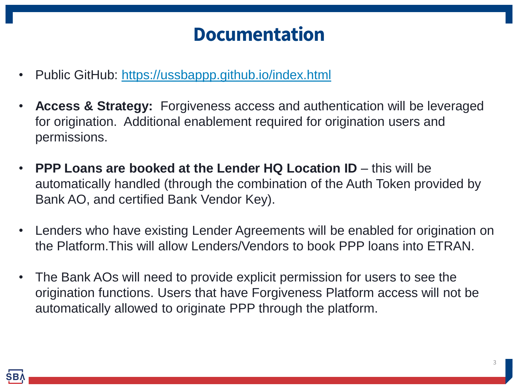## **Documentation**

- Public GitHub: <https://ussbappp.github.io/index.html>
- **Access & Strategy:** Forgiveness access and authentication will be leveraged for origination. Additional enablement required for origination users and permissions.
- **PPP Loans are booked at the Lender HQ Location ID** this will be automatically handled (through the combination of the Auth Token provided by Bank AO, and certified Bank Vendor Key).
- Lenders who have existing Lender Agreements will be enabled for origination on the Platform.This will allow Lenders/Vendors to book PPP loans into ETRAN.
- The Bank AOs will need to provide explicit permission for users to see the origination functions. Users that have Forgiveness Platform access will not be automatically allowed to originate PPP through the platform.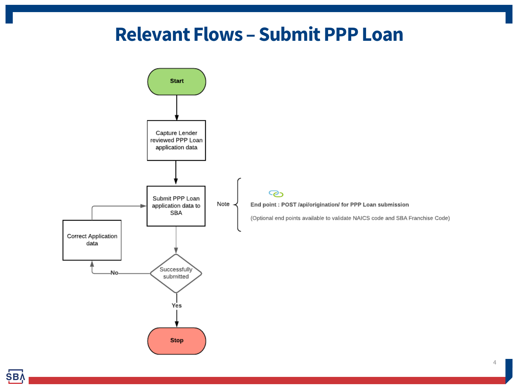### **Relevant Flows – Submit PPP Loan**

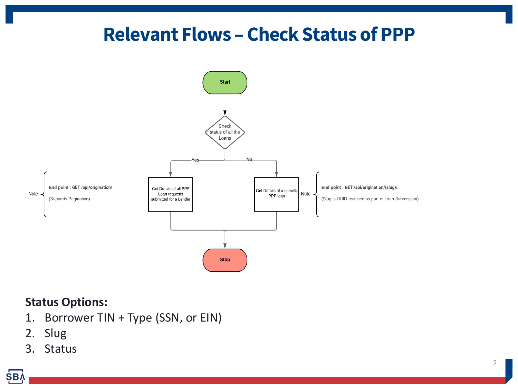## **Relevant Flows – Check Status of PPP**



#### **Status Options:**

- 1. Borrower TIN + Type (SSN, or EIN)
- 2. Slug
- 3. Status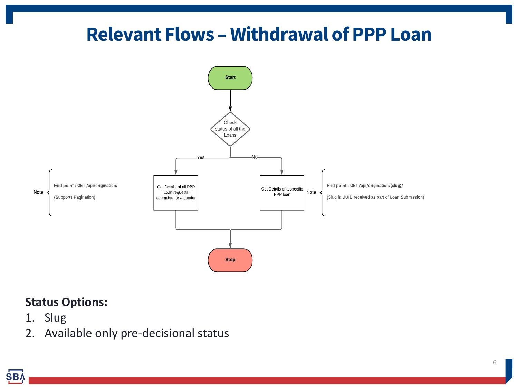## **Relevant Flows – Withdrawal of PPP Loan**



#### **Status Options:**

- 1. Slug
- 2. Available only pre-decisional status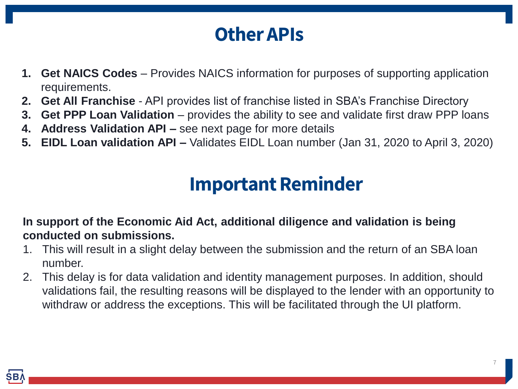## **Other APIs**

- **1. Get NAICS Codes**  Provides NAICS information for purposes of supporting application requirements.
- **2. Get All Franchise**  API provides list of franchise listed in SBA's Franchise Directory
- **3. Get PPP Loan Validation** provides the ability to see and validate first draw PPP loans
- **4. Address Validation API –** see next page for more details
- **5. EIDL Loan validation API –** Validates EIDL Loan number (Jan 31, 2020 to April 3, 2020)

## **Important Reminder**

**In support of the Economic Aid Act, additional diligence and validation is being conducted on submissions.** 

- 1. This will result in a slight delay between the submission and the return of an SBA loan number.
- 2. This delay is for data validation and identity management purposes. In addition, should validations fail, the resulting reasons will be displayed to the lender with an opportunity to withdraw or address the exceptions. This will be facilitated through the UI platform.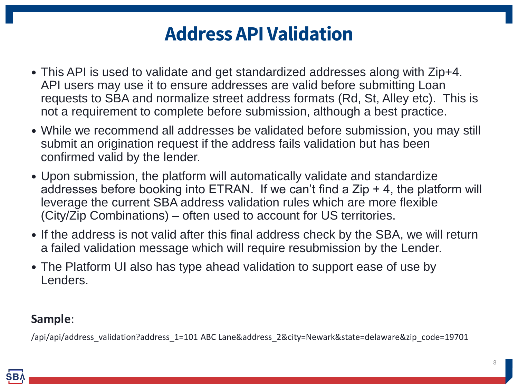## **Address API Validation**

- This API is used to validate and get standardized addresses along with Zip+4. API users may use it to ensure addresses are valid before submitting Loan requests to SBA and normalize street address formats (Rd, St, Alley etc). This is not a requirement to complete before submission, although a best practice.
- While we recommend all addresses be validated before submission, you may still submit an origination request if the address fails validation but has been confirmed valid by the lender.
- Upon submission, the platform will automatically validate and standardize addresses before booking into ETRAN. If we can't find a  $\mathsf{Zip} + 4$ , the platform will leverage the current SBA address validation rules which are more flexible (City/Zip Combinations) – often used to account for US territories.
- If the address is not valid after this final address check by the SBA, we will return a failed validation message which will require resubmission by the Lender.
- The Platform UI also has type ahead validation to support ease of use by Lenders.

#### **Sample**:

/api/api/address\_validation?address\_1=101 ABC Lane&address\_2&city=Newark&state=delaware&zip\_code=19701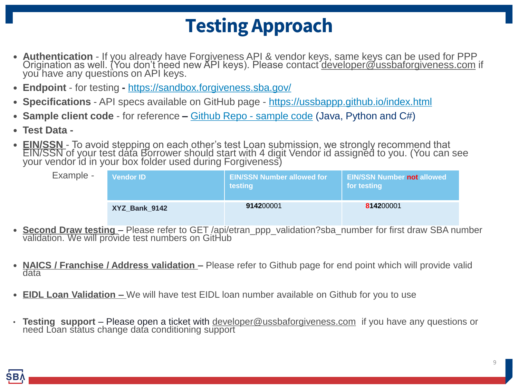## **Testing Approach**

- **Authentication** If you already have Forgiveness API & vendor keys, same keys can be used for PPP Origination as well. (You don't need new API keys). Please contact [developer@ussbaforgiveness.com](mailto:developer@ussbaforgiveness.com) if you have any questions on API keys.
- **Endpoint** for testing **-** <https://sandbox.forgiveness.sba.gov/>
- **Specifications** API specs available on GitHub page <https://ussbappp.github.io/index.html>
- **Sample client code**  for reference **–** [Github Repo -](https://ussbappp.github.io/GithubRepo.html) sample code (Java, Python and C#)
- **Test Data -**
- **EIN/SSN**  To avoid stepping on each other's test Loan submission, we strongly recommend that EIN/SSN of your test data Borrower should start with 4 digit Vendor id assigned to you. (You can see your vendor id in your box folder used during Forgiveness)

| Example - | <b>Vendor ID</b> | <b>EIN/SSN Number allowed for</b><br>testing | <b>EIN/SSN Number not allowed</b><br>for testing |
|-----------|------------------|----------------------------------------------|--------------------------------------------------|
|           | XYZ Bank 9142    | 914200001                                    | 814200001                                        |

- **Second Draw testing**  Please refer to GET /api/etran\_ppp\_validation?sba\_number for first draw SBA number validation. We will provide test numbers on GitHub
- **NAICS / Franchise / Address validation –** Please refer to Github page for end point which will provide valid data
- **EIDL Loan Validation –** We will have test EIDL loan number available on Github for you to use
- **Testing support**  Please open a ticket with [developer@ussbaforgiveness.com](mailto:developer@ussbaforgiveness.com) if you have any questions or need Loan status change data conditioning support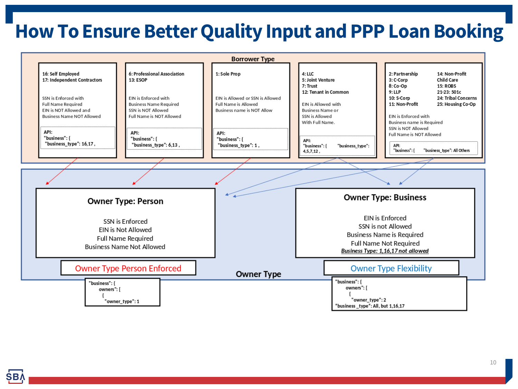## **How To Ensure Better Quality Input and PPP Loan Booking**

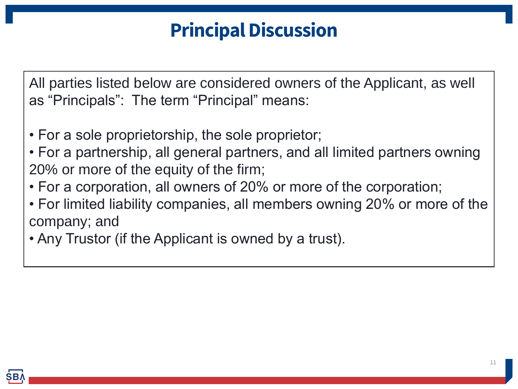## **Principal Discussion**

All parties listed below are considered owners of the Applicant, as well as "Principals": The term "Principal" means:

- For a sole proprietorship, the sole proprietor;
- For a partnership, all general partners, and all limited partners owning 20% or more of the equity of the firm;
- For a corporation, all owners of 20% or more of the corporation;
- For limited liability companies, all members owning 20% or more of the company; and
- Any Trustor (if the Applicant is owned by a trust).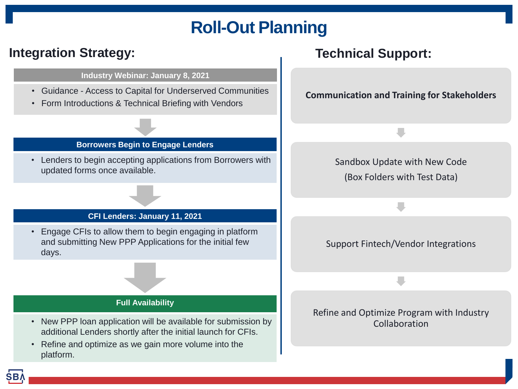## **Roll-Out Planning**

#### **Integration Strategy:** Technical Support:

#### **Industry Webinar: January 8, 2021**

- Guidance Access to Capital for Underserved Communities
- Form Introductions & Technical Briefing with Vendors

#### **Borrowers Begin to Engage Lenders**

• Lenders to begin accepting applications from Borrowers with updated forms once available.

#### **CFI Lenders: January 11, 2021**

• Engage CFIs to allow them to begin engaging in platform and submitting New PPP Applications for the initial few days.

#### **Full Availability**

- New PPP loan application will be available for submission by additional Lenders shortly after the initial launch for CFIs.
- Refine and optimize as we gain more volume into the platform.

# **Communication and Training for Stakeholders** Sandbox Update with New Code (Box Folders with Test Data) Support Fintech/Vendor Integrations Refine and Optimize Program with Industry Collaboration